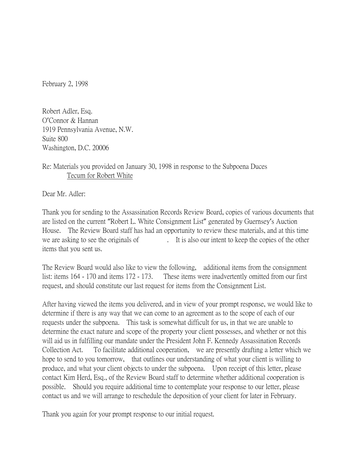February 2, 1998

Robert Adler, Esq. O'Connor & Hannan 1919 Pennsylvania Avenue, N.W. Suite 800 Washington, D.C. 20006

## Re: Materials you provided on January 30, 1998 in response to the Subpoena Duces Tecum for Robert White

Dear Mr. Adler:

Thank you for sending to the Assassination Records Review Board, copies of various documents that are listed on the current "Robert L. White Consignment List" generated by Guernsey's Auction House. The Review Board staff has had an opportunity to review these materials, and at this time we are asking to see the originals of . It is also our intent to keep the copies of the other items that you sent us.

The Review Board would also like to view the following, additional items from the consignment list: items 164 - 170 and items 172 - 173. These items were inadvertently omitted from our first request, and should constitute our last request for items from the Consignment List.

After having viewed the items you delivered, and in view of your prompt response, we would like to determine if there is any way that we can come to an agreement as to the scope of each of our requests under the subpoena. This task is somewhat difficult for us, in that we are unable to determine the exact nature and scope of the property your client possesses, and whether or not this will aid us in fulfilling our mandate under the President John F. Kennedy Assassination Records Collection Act. To facilitate additional cooperation, we are presently drafting a letter which we hope to send to you tomorrow, that outlines our understanding of what your client is willing to produce, and what your client objects to under the subpoena. Upon receipt of this letter, please contact Kim Herd, Esq., of the Review Board staff to determine whether additional cooperation is possible. Should you require additional time to contemplate your response to our letter, please contact us and we will arrange to reschedule the deposition of your client for later in February.

Thank you again for your prompt response to our initial request.